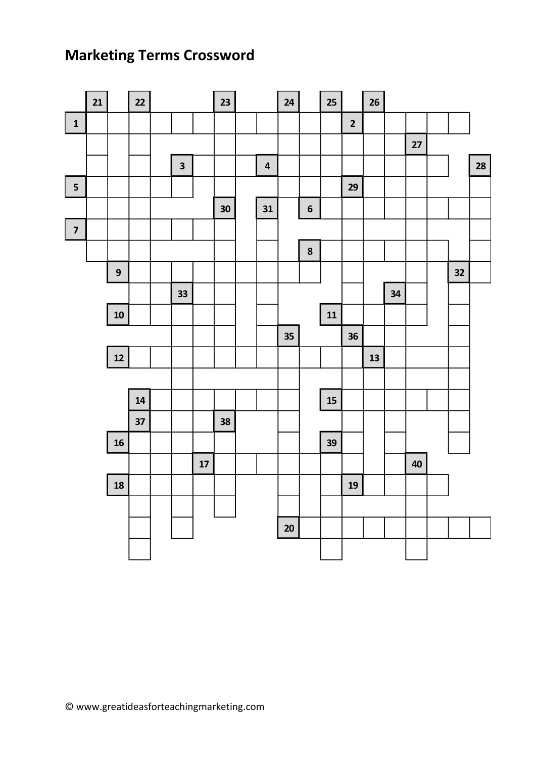## **Marketing Terms Crossword**